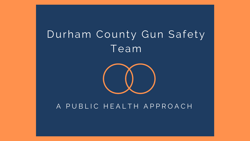# Durham County Gun Safety Team



### A PUBLIC HEALTH APPROACH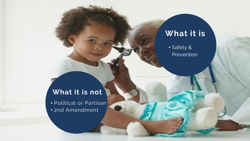## What it is

• Safety & Prevention

## What it is not

• Political or Partisan • 2nd Amendment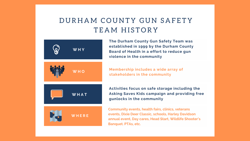## DURHAM COUNTY GUN SAFETY TEAM HISTORY



The Durham County Gun Safety Team was established in 1999 by the Durham County Board of Health in a effort to reduce gun violence in the community

Membership includes a wide array of stakeholders in the community

Activities focus on safe storage including the Asking Saves Kids campaign and providing free gunlocks in the community

Community events, health fairs, clinics, veterans events, Dixie Deer Classic, schools, Harley Davidson annual event, Day cares, Head Start, Wildlife Shooter's Banquet. PTAs, etc.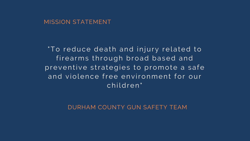#### MISSION STATEMENT

'To reduce death and injury related to firearms through broad based and preventive strategies to promote a safe and violence free environment for our children"

DURHAM COUNTY GUN SAFETY TEAM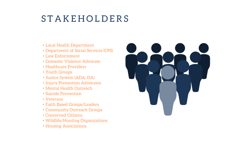# **STAKEHOLDERS**

- Local Health Department
- Department of Social Services (CPS)
- Law Enforcement
- Domestic Violence Advocate
- Healthcare Providers
- Youth Groups
- Justice System (ADA, DA)
- Injury Prevention Advocates
- Mental Health Outreach
- Suicide Prevention
- Veterans
- Faith Based Groups/Leaders
- Community Outreach Groups
- Concerned Citizens
- Wildlife/Hunting Organizations
- Housing Associations

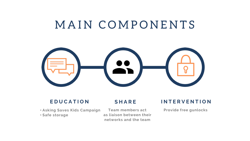# MAIN COMPONENTS



#### **EDUCATION**

#### **SHARE**

• Asking Saves Kids Campaign • Safe storage

Team members act as liaison between their networks and the team

#### **INTERVENTION**

Provide free gunlocks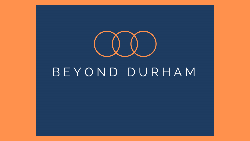

# B E Y O N D D U R H A M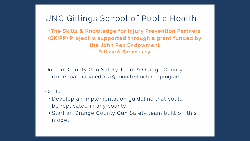## UNC Gillings School of Public Health

•The Skills & Knowledge for Injury Prevention Partners (SKIPP) Project is supported through a grant funded by the John Rex Endowment Fall 2018-Spring 2019

Durham County Gun Safety Team & Orange County partners participated in a 9-month structured program

#### Goals:

- Develop an implementation guideline that could be replicated in any county
- Start an Orange County Gun Safety team built off this model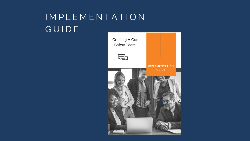# I M P L E M E N T A T I O N **GUIDE**

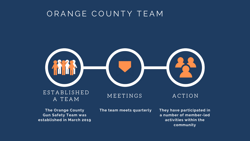## ORANGE COUNTY TEAM



The Orange County Gun Safety Team was established in March 2019 The team meets quarterly

They have participated in a number of member-led activities within the community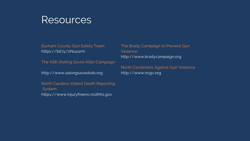## Resources

Durham County Gun Safety Team https://bit.ly/2Nuu1rm

The ASK (Asking Saves Kids) Campaign

http://www.askingsaveskids.org

North Carolina Violent Death Reporting **System** https://www.injuryfreenc.ncdhhs.gov

The Brady Campaign to Prevent Gun Violence http://www.bradycampaign.org

North Carolinians Against Gun Violence http://www.ncgv.org